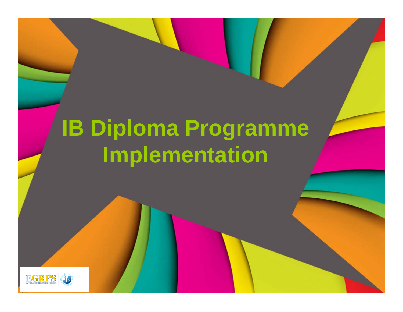# **IB Diploma Programme Implementation**

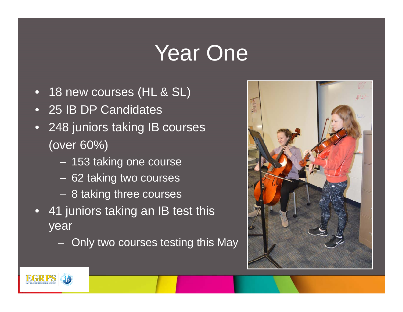#### Year One

- 18 new courses (HL & SL)
- •25 IB DP Candidates
- 248 juniors taking IB courses (over 60%)
	- $\mathcal{L}_{\mathcal{A}}$  , where  $\mathcal{L}_{\mathcal{A}}$  is the set of the set of the set of the set of the set of the set of the set of the set of the set of the set of the set of the set of the set of the set of the set of the set of the 153 taking one course
	- $\mathcal{L}_{\mathcal{A}}$  , where  $\mathcal{L}_{\mathcal{A}}$  is the set of the set of the set of the set of the set of the set of the set of the set of the set of the set of the set of the set of the set of the set of the set of the set of the 62 taking two courses
	- 8 taking three courses
- 41 juniors taking an IB test this year
	- Only two courses testing this May



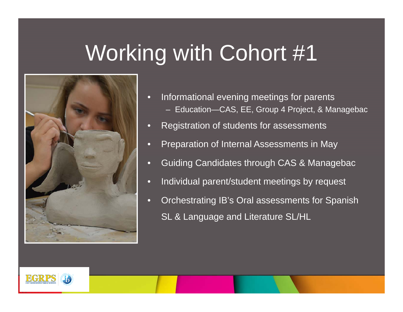#### Working with Cohort #1



- • Informational evening meetings for parents Education—CAS, EE, Group 4 Project, & Managebac
- •Registration of students for assessments
- •Preparation of Internal Assessments in May
- $\overline{C}$ Guiding Candidates through CAS & Managebac
- $\overline{\mathbf{C}}$ Individual parent/student meetings by request
- $\overline{\mathbf{C}}$  Orchestrating IB's Oral assessments for Spanish SL & Language and Literature SL/HL

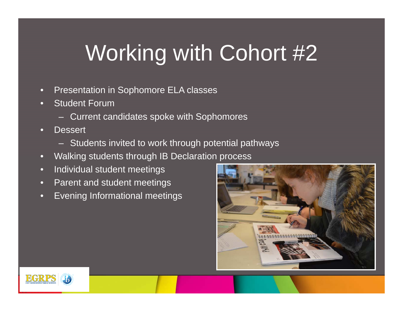# Working with Cohort #2

- •Presentation in Sophomore ELA classes
- • Student Forum
	- Current candidates spoke with Sophomores
- •**Dessert** 
	- Students invited to work through potential pathways
- •Walking students through IB Declaration process
- •Individual student meetings
- •Parent and student meetings
- •Evening Informational meetings



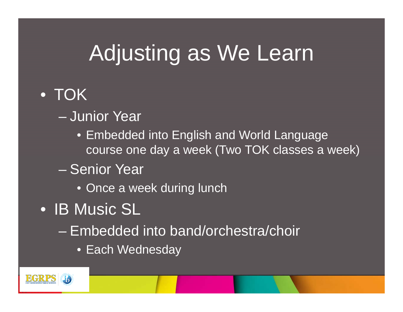## Adjusting as We Learn

#### • TOK

- Junior Year
	- Embedded into English and World Language course one day a week (Two TOK classes a week)
- Senior Year
	- Once a week during lunch
- IB Music SL
	- Embedded into band/orchestra/choir
		- Each Wednesday

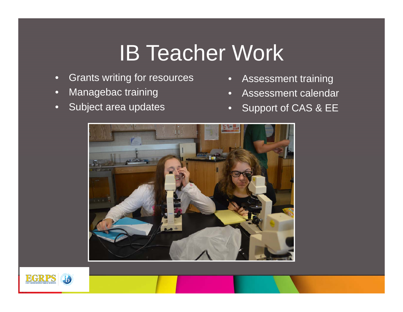## IB Teacher Work

- •Grants writing for resources
- •Managebac training
- •Subject area updates
- •Assessment training
- •Assessment calendar
- •Support of CAS & EE



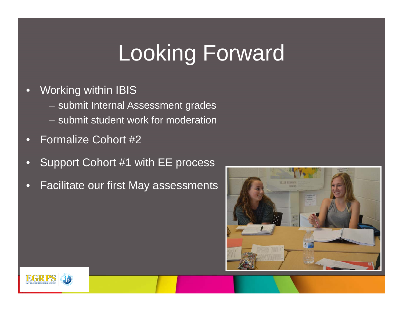# Looking Forward

- $\bullet$ **Working within IBIS** 
	- submit Internal Assessment grades
	- submit student work for moderation
- $\bigcap$ Formalize Cohort #2
- $\bullet$ Support Cohort #1 with EE process
- •Facilitate our first May assessments